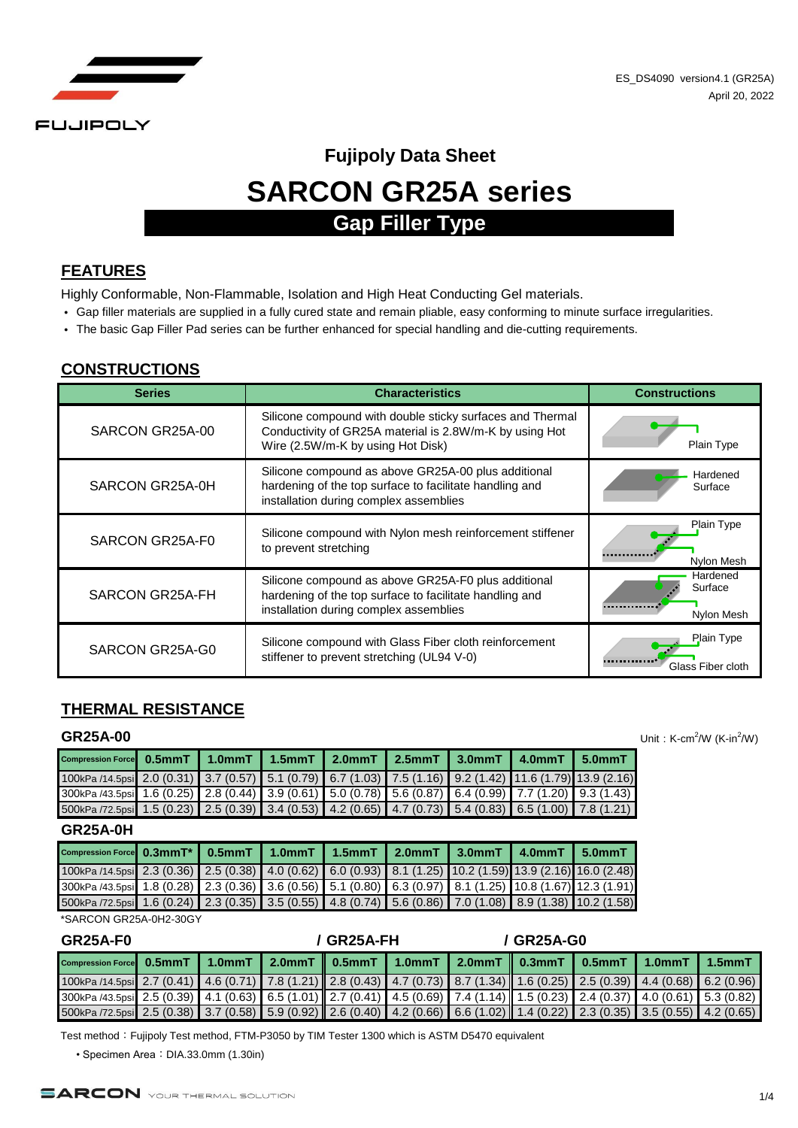

# **SARCON GR25A series Fujipoly Data Sheet Gap Filler Type**

#### **FEATURES**

Highly Conformable, Non-Flammable, Isolation and High Heat Conducting Gel materials.

- Gap filler materials are supplied in a fully cured state and remain pliable, easy conforming to minute surface irregularities.
- The basic Gap Filler Pad series can be further enhanced for special handling and die-cutting requirements.

#### **CONSTRUCTIONS**

| <b>Series</b>   | <b>Characteristics</b>                                                                                                                                    | <b>Constructions</b>              |
|-----------------|-----------------------------------------------------------------------------------------------------------------------------------------------------------|-----------------------------------|
| SARCON GR25A-00 | Silicone compound with double sticky surfaces and Thermal<br>Conductivity of GR25A material is 2.8W/m-K by using Hot<br>Wire (2.5W/m-K by using Hot Disk) | Plain Type                        |
| SARCON GR25A-0H | Silicone compound as above GR25A-00 plus additional<br>hardening of the top surface to facilitate handling and<br>installation during complex assemblies  | Hardened<br>Surface               |
| SARCON GR25A-F0 | Silicone compound with Nylon mesh reinforcement stiffener<br>to prevent stretching                                                                        | Plain Type<br>Nylon Mesh          |
| SARCON GR25A-FH | Silicone compound as above GR25A-F0 plus additional<br>hardening of the top surface to facilitate handling and<br>installation during complex assemblies  | Hardened<br>Surface<br>Nylon Mesh |
| SARCON GR25A-G0 | Silicone compound with Glass Fiber cloth reinforcement<br>stiffener to prevent stretching (UL94 V-0)                                                      | Plain Type<br>Glass Fiber cloth   |

## **THERMAL RESISTANCE**

#### **GR25A-00**

| Compression Force 0.5mmT 1.0mmT 1.5mmT 2.0mmT 2.5mmT 3.0mmT 4.0mmT 5.0mmT                                 |  |  |  |  |
|-----------------------------------------------------------------------------------------------------------|--|--|--|--|
| 100kPa /14.5psi 2.0 (0.31) 3.7 (0.57) 5.1 (0.79) 6.7 (1.03) 7.5 (1.16) 9.2 (1.42) 11.6 (1.79) 13.9 (2.16) |  |  |  |  |
| 300kPa /43.5psi 1.6 (0.25) 2.8 (0.44) 3.9 (0.61) 5.0 (0.78) 5.6 (0.87) 6.4 (0.99) 7.7 (1.20) 9.3 (1.43)   |  |  |  |  |
| 500kPa /72.5psi 1.5 (0.23) 2.5 (0.39) 3.4 (0.53) 4.2 (0.65) 4.7 (0.73) 5.4 (0.83) 6.5 (1.00) 7.8 (1.21)   |  |  |  |  |

#### **GR25A-0H**

| Compression Force 0.3mmT* 0.5mmT 1.0mmT 1.5mmT 2.0mmT 3.0mmT 4.0mmT 5.0mmT                                 |  |  |  |  |
|------------------------------------------------------------------------------------------------------------|--|--|--|--|
| 100kPa /14.5psi 2.3 (0.36) 2.5 (0.38) 4.0 (0.62) 6.0 (0.93) 8.1 (1.25) 10.2 (1.59) 13.9 (2.16) 16.0 (2.48) |  |  |  |  |
| 300kPa /43.5psi 1.8 (0.28) 2.3 (0.36) 3.6 (0.56) 5.1 (0.80) 6.3 (0.97) 8.1 (1.25) 10.8 (1.67) 12.3 (1.91)  |  |  |  |  |
| 5.00kPa /72.5psi 1.6 (0.24) 2.3 (0.35) 3.5 (0.55) 4.8 (0.74) 5.6 (0.86) 7.0 (1.08) 8.9 (1.38) 10.2 (1.58)  |  |  |  |  |

\*SARCON GR25A-0H2-30GY

| <b>GR25A-F0</b>                                                                                                                |  |  | / GR25A-FH |  |  | / GR25A-G0 |  |  |  |
|--------------------------------------------------------------------------------------------------------------------------------|--|--|------------|--|--|------------|--|--|--|
| Compression Force 0.5mmT 1.0mmT 2.0mmT 0.5mmT 1.0mmT 2.0mmT 0.3mmT 0.5mmT 1.0mmT 1.5mmT                                        |  |  |            |  |  |            |  |  |  |
| $100kPa/14.5psi$ 2.7 (0.41) 4.6 (0.71) 7.8 (1.21) 2.8 (0.43) 4.7 (0.73) 8.7 (1.34) 1.6 (0.25) 2.5 (0.39) 4.4 (0.68) 6.2 (0.96) |  |  |            |  |  |            |  |  |  |
| 300kPa /43.5psi 2.5 (0.39) 4.1 (0.63) 6.5 (1.01) 2.7 (0.41) 4.5 (0.69) 7.4 (1.14) 1.5 (0.23) 2.4 (0.37) 4.0 (0.61) 5.3 (0.82)  |  |  |            |  |  |            |  |  |  |
| 500kPa /72.5psi 2.5 (0.38) 3.7 (0.58) 5.9 (0.92) 2.6 (0.40) 4.2 (0.66) 6.6 (1.02) 1.4 (0.22) 2.3 (0.35) 3.5 (0.55) 4.2 (0.65)  |  |  |            |  |  |            |  |  |  |

Test method: Fujipoly Test method, FTM-P3050 by TIM Tester 1300 which is ASTM D5470 equivalent

• Specimen Area: DIA.33.0mm (1.30in)



Unit:  $K-cm^2/W$  (K-in $^2/W$ )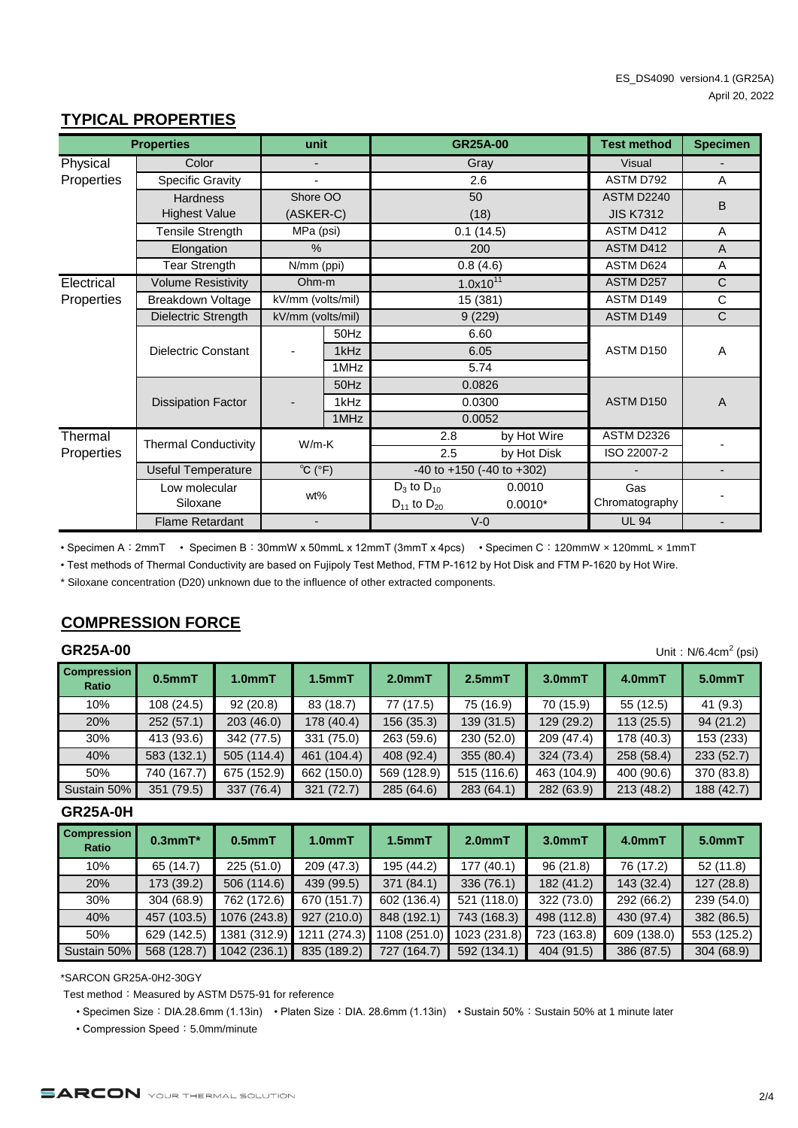# **TYPICAL PROPERTIES**

|            | <b>Properties</b>           | unit                              |                        |                      | <b>GR25A-00</b>                     | <b>Test method</b> | <b>Specimen</b>          |
|------------|-----------------------------|-----------------------------------|------------------------|----------------------|-------------------------------------|--------------------|--------------------------|
| Physical   | Color                       |                                   |                        |                      | Gray                                | <b>Visual</b>      |                          |
| Properties | <b>Specific Gravity</b>     |                                   |                        | 2.6                  |                                     | ASTM D792          | A                        |
|            | <b>Hardness</b>             | Shore OO<br>(ASKER-C)             |                        | 50                   |                                     | <b>ASTM D2240</b>  | B                        |
|            | <b>Highest Value</b>        |                                   |                        |                      | (18)                                |                    |                          |
|            | <b>Tensile Strength</b>     | MPa (psi)                         |                        |                      | 0.1(14.5)                           | ASTM D412          | A                        |
|            | Elongation                  | $\%$                              |                        |                      | 200                                 | ASTM D412          | $\overline{A}$           |
|            | <b>Tear Strength</b>        | N/mm (ppi)                        |                        | 0.8(4.6)             |                                     | ASTM D624          | A                        |
| Electrical | <b>Volume Resistivity</b>   |                                   | $1.0x10^{11}$<br>Ohm-m |                      |                                     | ASTM D257          | $\mathsf{C}$             |
| Properties | Breakdown Voltage           |                                   | kV/mm (volts/mil)      |                      | 15 (381)                            | ASTM D149          | C                        |
|            | Dielectric Strength         | kV/mm (volts/mil)                 |                        | 9(229)               |                                     | ASTM D149          | $\mathsf{C}$             |
|            | <b>Dielectric Constant</b>  |                                   | 50Hz                   |                      | 6.60                                |                    |                          |
|            |                             |                                   | 1kHz                   |                      | 6.05                                | ASTM D150          | A                        |
|            |                             |                                   | 1MHz                   |                      | 5.74                                |                    |                          |
|            |                             |                                   | 50Hz                   |                      | 0.0826                              |                    |                          |
|            | <b>Dissipation Factor</b>   |                                   | 1kHz                   |                      | 0.0300                              | ASTM D150          | $\overline{A}$           |
|            |                             |                                   | 1MHz                   |                      | 0.0052                              |                    |                          |
| Thermal    | <b>Thermal Conductivity</b> | $W/m-K$                           |                        | 2.8                  | by Hot Wire                         | <b>ASTM D2326</b>  |                          |
| Properties |                             |                                   |                        | 2.5                  | by Hot Disk                         | ISO 22007-2        |                          |
|            | <b>Useful Temperature</b>   | $\overline{C}$ ( $\overline{F}$ ) |                        |                      | $-40$ to $+150$ ( $-40$ to $+302$ ) |                    | $\overline{\phantom{a}}$ |
|            | Low molecular               | wt%                               |                        | $D_3$ to $D_{10}$    | 0.0010                              | Gas                |                          |
|            | Siloxane                    |                                   |                        | $D_{11}$ to $D_{20}$ | $0.0010*$                           | Chromatography     |                          |
|            | <b>Flame Retardant</b>      |                                   |                        |                      | $V-0$                               | <b>UL 94</b>       |                          |

• Specimen A:2mmT • Specimen B:30mmW x 50mmL x 12mmT (3mmT x 4pcs) • Specimen C:120mmW × 120mmL × 1mmT

• Test methods of Thermal Conductivity are based on Fujipoly Test Method, FTM P-1612 by Hot Disk and FTM P-1620 by Hot Wire.

\* Siloxane concentration (D20) unknown due to the influence of other extracted components.

# **COMPRESSION FORCE**

### **GR25A-00**

| <b>GR25A-00</b>             | Unit: $N/6.4cm2$ (psi) |                     |                    |             |             |             |            |            |  |  |
|-----------------------------|------------------------|---------------------|--------------------|-------------|-------------|-------------|------------|------------|--|--|
| <b>Compression</b><br>Ratio | $0.5$ mm $T$           | 1.0 <sub>mm</sub> T | 1.5 <sub>mmT</sub> | $2.0mm$ T   | $2.5mm$ T   | $3.0mm$ T   | 4.0mmT     | 5.0mmT     |  |  |
| 10%                         | 108 (24.5)             | 92(20.8)            | 83 (18.7)          | 77 (17.5)   | 75 (16.9)   | 70 (15.9)   | 55 (12.5)  | 41(9.3)    |  |  |
| 20%                         | 252(57.1)              | 203(46.0)           | 178 (40.4)         | 156(35.3)   | 139 (31.5)  | 129 (29.2)  | 113(25.5)  | 94(21.2)   |  |  |
| 30%                         | 413 (93.6)             | 342 (77.5)          | 331 (75.0)         | 263 (59.6)  | 230 (52.0)  | 209 (47.4)  | 178 (40.3) | 153 (233)  |  |  |
| 40%                         | 583 (132.1)            | 505 (114.4)         | 461 (104.4)        | 408 (92.4)  | 355 (80.4)  | 324 (73.4)  | 258 (58.4) | 233 (52.7) |  |  |
| 50%                         | 740 (167.7)            | 675 (152.9)         | 662 (150.0)        | 569 (128.9) | 515 (116.6) | 463 (104.9) | 400 (90.6) | 370 (83.8) |  |  |
| Sustain 50%                 | 351 (79.5)             | 337 (76.4)          | 321 (72.7)         | 285 (64.6)  | 283 (64.1)  | 282 (63.9)  | 213 (48.2) | 188 (42.7) |  |  |

#### **GR25A-0H**

| <b>Compression</b><br>Ratio | $0.3$ mm $T^*$ | $0.5$ mm $T$ | $1.0mm$ T   | 1.5 <sub>mm</sub> T | 2.0 <sub>mm</sub> T | $3.0mm$ T   | $4.0mm$ T   | $5.0mm$ T   |
|-----------------------------|----------------|--------------|-------------|---------------------|---------------------|-------------|-------------|-------------|
| 10%                         | 65(14.7)       | 225(51.0)    | 209 (47.3)  | 195 (44.2)          | 177 (40.1)          | 96(21.8)    | 76 (17.2)   | 52(11.8)    |
| 20%                         | 173 (39.2)     | 506 (114.6)  | 439 (99.5)  | 371 (84.1)          | 336 (76.1)          | 182 (41.2)  | 143 (32.4)  | 127(28.8)   |
| 30%                         | 304 (68.9)     | 762 (172.6)  | 670 (151.7) | 602 (136.4)         | 521 (118.0)         | 322 (73.0)  | 292 (66.2)  | 239 (54.0)  |
| 40%                         | 457 (103.5)    | 1076 (243.8) | 927 (210.0) | 848 (192.1)         | 743 (168.3)         | 498 (112.8) | 430 (97.4)  | 382 (86.5)  |
| 50%                         | 629 (142.5)    | 1381 (312.9) | 1211(274.3) | 1108 (251.0)        | 1023 (231.8)        | 723 (163.8) | 609 (138.0) | 553 (125.2) |
| Sustain 50%                 | 568 (128.7)    | 1042 (236.1) | 835 (189.2) | (164.7)<br>727      | 592 (134.1)         | 404 (91.5)  | 386 (87.5)  | 304 (68.9)  |

\*SARCON GR25A-0H2-30GY

Test method: Measured by ASTM D575-91 for reference

• Specimen Size: DIA.28.6mm (1.13in) • Platen Size: DIA. 28.6mm (1.13in) • Sustain 50%: Sustain 50% at 1 minute later

• Compression Speed: 5.0mm/minute

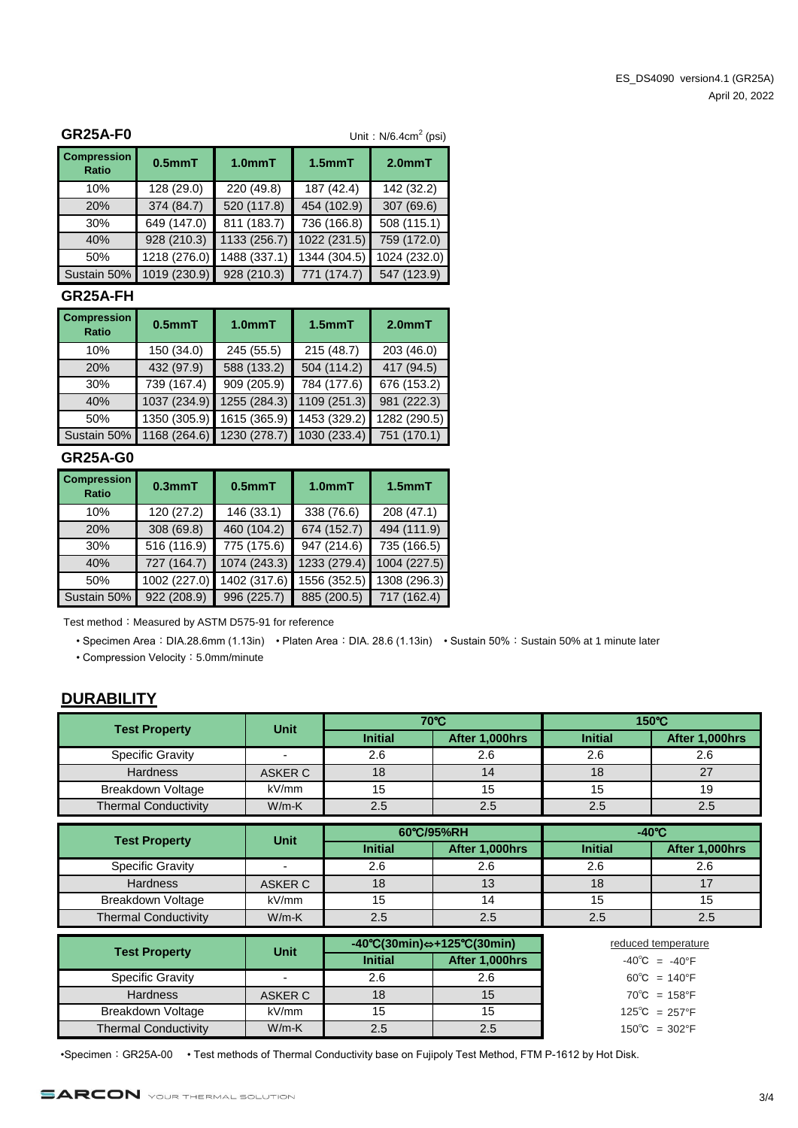| <b>GR25A-F0</b>                    |              |                     |              | Unit: $N/6.4cm2$ (psi) |
|------------------------------------|--------------|---------------------|--------------|------------------------|
| <b>Compression</b><br><b>Ratio</b> | $0.5mm$ T    | 1.0 <sub>mm</sub> T | $1.5$ mm $T$ | $2.0mm$ T              |
| 10%                                | 128 (29.0)   | 220 (49.8)          | 187 (42.4)   | 142 (32.2)             |
| 20%                                | 374(84.7)    | 520 (117.8)         | 454 (102.9)  | 307 (69.6)             |
| 30%                                | 649 (147.0)  | 811 (183.7)         | 736 (166.8)  | 508 (115.1)            |
| 40%                                | 928 (210.3)  | 1133 (256.7)        | 1022 (231.5) | 759 (172.0)            |
| 50%                                | 1218 (276.0) | 1488 (337.1)        | 1344 (304.5) | 1024 (232.0)           |
| Sustain 50%                        | 1019 (230.9) | 928 (210.3)         | 771 (174.7)  | 547 (123.9)            |

#### **GR25A-FH**

| <b>Compression</b><br><b>Ratio</b> | $0.5mm$ T    | 1.0 <sub>mm</sub> T | $1.5$ mm $T$ | $2.0mm$ T    |
|------------------------------------|--------------|---------------------|--------------|--------------|
| 10%                                | 150 (34.0)   | 245 (55.5)          | 215(48.7)    | 203 (46.0)   |
| 20%                                | 432 (97.9)   | 588 (133.2)         | 504 (114.2)  | 417 (94.5)   |
| 30%                                | 739 (167.4)  | 909 (205.9)         | 784 (177.6)  | 676 (153.2)  |
| 40%                                | 1037 (234.9) | 1255 (284.3)        | 1109 (251.3) | 981 (222.3)  |
| 50%                                | 1350 (305.9) | 1615 (365.9)        | 1453 (329.2) | 1282 (290.5) |
| Sustain 50%                        | 1168 (264.6) | 1230 (278.7)        | 1030 (233.4) | 751 (170.1)  |

### **GR25A-G0**

| <b>Compression</b><br>Ratio | $0.3$ mm $T$ | $0.5$ mm $T$             |              | $1.5mm$ T    |
|-----------------------------|--------------|--------------------------|--------------|--------------|
| 10%                         | 120 (27.2)   | 146 (33.1)               | 338 (76.6)   | 208 (47.1)   |
| 20%                         | 308 (69.8)   | 460 (104.2)              | 674 (152.7)  | 494 (111.9)  |
| 30%                         | 516 (116.9)  | $\overline{775}$ (175.6) | 947 (214.6)  | 735 (166.5)  |
| 40%                         | 727 (164.7)  | 1074 (243.3)             | 1233 (279.4) | 1004 (227.5) |
| 50%                         | 1002 (227.0) | 1402 (317.6)             | 1556 (352.5) | 1308 (296.3) |
| Sustain 50%                 | 922 (208.9)  | 996 (225.7)              | 885 (200.5)  | 717 (162.4)  |

Test method: Measured by ASTM D575-91 for reference

• Specimen Area: DIA.28.6mm (1.13in) • Platen Area: DIA. 28.6 (1.13in) • Sustain 50%: Sustain 50% at 1 minute later

• Compression Velocity: 5.0mm/minute

#### **DURABILITY**

| <b>Test Property</b>        | <b>Unit</b> |                | 70°C           | $150^{\circ}$ C |                |  |
|-----------------------------|-------------|----------------|----------------|-----------------|----------------|--|
|                             |             | <b>Initial</b> | After 1,000hrs | <b>Initial</b>  | After 1,000hrs |  |
| <b>Specific Gravity</b>     |             | 2.6            | 2.6            | 2.6             | 2.6            |  |
| <b>Hardness</b>             | ASKER C     | 18             |                | 18              |                |  |
| Breakdown Voltage           | kV/mm       | 15             | 15             | 15              | 19             |  |
| <b>Thermal Conductivity</b> | $W/m-K$     | 2.5            | 2.5            | 2.5             | 2.5            |  |

| <b>Test Property</b>        | <b>Unit</b> |                | 60°C/95%RH     | $-40^{\circ}$ C |                |  |
|-----------------------------|-------------|----------------|----------------|-----------------|----------------|--|
|                             |             | <b>Initial</b> | After 1,000hrs | <b>Initial</b>  | After 1,000hrs |  |
| <b>Specific Gravity</b>     |             | 2.6            | 2.6            | 2.6             | 2.6            |  |
| <b>Hardness</b>             | ASKER C     | 18             | 13             | 18              |                |  |
| Breakdown Voltage           | kV/mm       | 15             | 14             | 15              | 15             |  |
| <b>Thermal Conductivity</b> | $W/m-K$     | 2.5            | 2.5            | 2.5             | 2.5            |  |

| <b>Test Property</b>        | <b>Unit</b> | $-40^{\circ}C(30\text{min}) \Leftrightarrow +125^{\circ}C(30\text{min})$ |                | reduced temperature               |
|-----------------------------|-------------|--------------------------------------------------------------------------|----------------|-----------------------------------|
|                             |             | <b>Initial</b>                                                           | After 1,000hrs | $-40^{\circ}$ C = $-40^{\circ}$ F |
| <b>Specific Gravity</b>     |             | 2.6                                                                      | 2.6            | $60^{\circ}$ C = 140°F            |
| <b>Hardness</b>             | ASKER C     | 18                                                                       | 15             | $70^{\circ}$ C = 158°F            |
| Breakdown Voltage           | kV/mm       |                                                                          |                | $125^{\circ}C = 257^{\circ}F$     |
| <b>Thermal Conductivity</b> | $W/m-K$     | 2.5                                                                      |                | $150^{\circ}$ C = 302°F           |

•Specimen: GR25A-00 • Test methods of Thermal Conductivity base on Fujipoly Test Method, FTM P-1612 by Hot Disk.